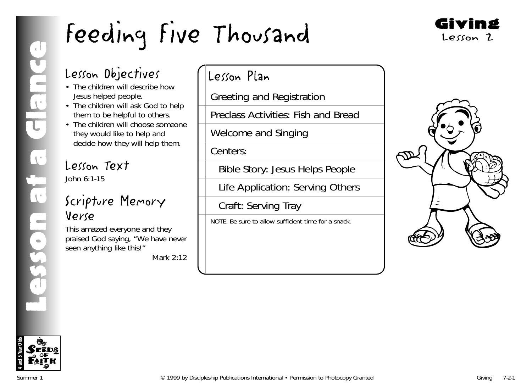

# Lesson Objectives

- The children will describe how Jesus helped people.
- The children will ask God to help them to be helpful to others.
- The children will choose someone they would like to help and decide how they will help them.

# Lesson Text John 6:1-15

# Scripture Memory Verse

This amazed everyone and they praised God saying, "We have never seen anything like this!"

*Mark 2:12*

# Lesson Plan

Greeting and Registration

Preclass Activities: Fish and Bread

Welcome and Singing

Centers:

Bible Story: Jesus Helps People

Life Application: Serving Others

Craft: Serving Tray

NOTE: Be sure to allow sufficient time for a snack.



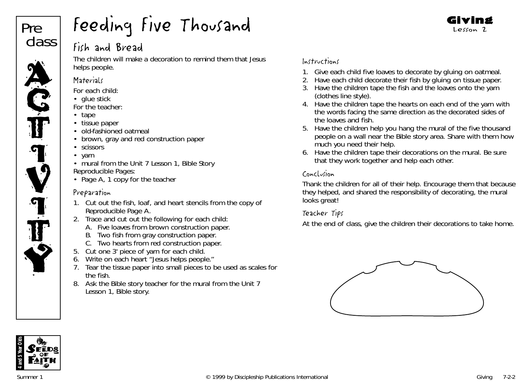

# Fish and Bread

The children will make a decoration to remind them that Jesus helps people.

#### **Materials**

- *For each child:*
- glue stick
- *For the teacher:*
- tape
- tissue paper
- old-fashioned oatmeal
- brown, gray and red construction paper
- scissors
- yarn
- mural from the Unit 7 Lesson 1, Bible Story *Reproducible Pages:*
- Page A, 1 copy for the teacher

## Preparation

- 1. Cut out the fish, loaf, and heart stencils from the copy of Reproducible Page A.
- 2. Trace and cut out the following for each child:
	- A. Five loaves from brown construction paper.
	- B. Two fish from gray construction paper.
	- C. Two hearts from red construction paper.
- 5. Cut one 3' piece of yarn for each child.
- 6. Write on each heart "Jesus helps people."
- 7. Tear the tissue paper into small pieces to be used as scales for the fish.
- 8. Ask the Bible story teacher for the mural from the Unit 7 Lesson 1, Bible story.

## Instructions

- 1. Give each child five loaves to decorate by gluing on oatmeal.
- 2. Have each child decorate their fish by gluing on tissue paper.
- 3. Have the children tape the fish and the loaves onto the yarn (clothes line style).
- 4. Have the children tape the hearts on each end of the yarn with the words facing the same direction as the decorated sides of the loaves and fish.
- 5. Have the children help you hang the mural of the five thousand people on a wall near the Bible story area. Share with them how much you need their help.
- 6. Have the children tape their decorations on the mural. Be sure that they work together and help each other.

## Conclusion

Thank the children for all of their help. Encourage them that because they helped, and shared the responsibility of decorating, the mural looks great!

#### Teacher Tips

At the end of class, give the children their decorations to take home.





Giving Lesson 2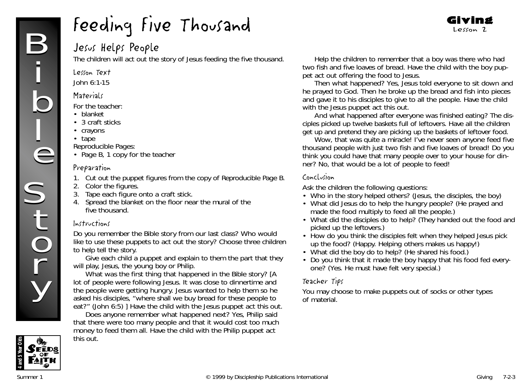# Jesus Helps People

The children will act out the story of Jesus feeding the five thousand.

#### Lesson Text

John 6:1-15

#### **Materials**

*For the teacher:*

- blanket
- 3 craft sticks
- crayons
- tape

*Reproducible Pages:*

• Page B, 1 copy for the teacher

#### Preparation

- 1. Cut out the puppet figures from the copy of Reproducible Page B.
- 2. Color the figures.
- 3. Tape each figure onto a craft stick.
- 4. Spread the blanket on the floor near the mural of the five thousand.

#### Instructions

*Do you remember the Bible story from our last class? Who would like to use these puppets to act out the story?* Choose three children to help tell the story.

Give each child a puppet and explain to them the part that they will play, Jesus, the young boy or Philip.

*What was the first thing that happened in the Bible story?* [A lot of people were following Jesus. It was close to dinnertime and the people were getting hungry. Jesus wanted to help them so he asked his disciples, "where shall we buy bread for these people to eat?" (John 6:5) ] Have the child with the Jesus puppet act this out.

*Does anyone remember what happened next? Yes, Philip said that there were too many people and that it would cost too much money to feed them all.* Have the child with the Philip puppet act this out.

Help the children to remember that a boy was there who had two fish and five loaves of bread. Have the child with the boy puppet act out offering the food to Jesus.

Giving Lesson 2

*Then what happened? Yes, Jesus told everyone to sit down and he prayed to God. Then he broke up the bread and fish into pieces and gave it to his disciples to give to all the people.* Have the child with the Jesus puppet act this out.

*And what happened after everyone was finished eating? The disciples picked up twelve baskets full of leftovers.* Have all the children get up and pretend they are picking up the baskets of leftover food.

*Wow, that was quite a miracle! I've never seen anyone feed five thousand people with just two fish and five loaves of bread! Do you think you could have that many people over to your house for dinner? No, that would be a lot of people to feed!*

#### Conclusion

Ask the children the following questions:

- Who in the story helped others? (Jesus, the disciples, the boy)
- What did Jesus do to help the hungry people? (He prayed and made the food multiply to feed all the people.)
- What did the disciples do to help? (They handed out the food and picked up the leftovers.)
- How do you think the disciples felt when they helped Jesus pick up the food? (Happy. Helping others makes us happy!)
- What did the boy do to help? (He shared his food.)
- Do you think that it made the boy happy that his food fed everyone? (Yes. He must have felt very special.)

#### Teacher Tips

You may choose to make puppets out of socks or other types of material.

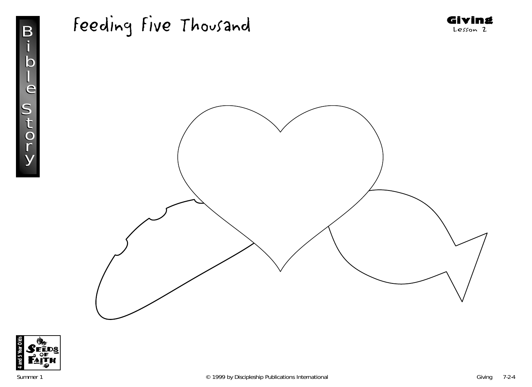





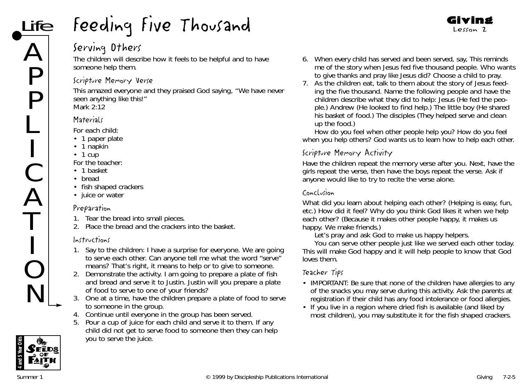# Serving Others

The children will describe how it feels to be helpful and to have someone help them.

#### Scripture Memory Verse

This amazed everyone and they praised God saying, "We have never seen anything like this!" *Mark 2:12*

#### **Materials**

*For each child:*

- 1 paper plate
- 1 napkin
- 1 cup
- *For the teacher:*
- 1 basket
- bread
- fish shaped crackers
- juice or water

#### Preparation

- 1. Tear the bread into small pieces.
- 2. Place the bread and the crackers into the basket.

# Instructions

- 1. Say to the children*: I have a surprise for everyone. We are going to serve each other. Can anyone tell me what the word "serve" means? That's right, it means to help or to give to someone.*
- 2. Demonstrate the activity. *I am going to prepare a plate of fish and bread and serve it to Justin. Justin will you prepare a plate of food to serve to one of your friends?*
- 3. One at a time, have the children prepare a plate of food to serve to someone in the group.
- 4. Continue until everyone in the group has been served.
- 5. Pour a cup of juice for each child and serve it to them. If any child did not get to serve food to someone then they can help you to serve the juice.

6. When every child has served and been served, say, *This reminds me of the story when Jesus fed five thousand people. Who wants to give thanks and pray like Jesus did?* Choose a child to pray.

Giving Lesson 2

7. As the children eat, talk to them about the story of Jesus feeding the five thousand. Name the following people and have the children describe what they did to help: Jesus (He fed the people.) Andrew (He looked to find help.) The little boy (He shared his basket of food.) The disciples (They helped serve and clean up the food.)

*How do you feel when other people help you? How do you feel when you help others? God wants us to learn how to help each other.*

# Scripture Memory Activity

Have the children repeat the memory verse after you. Next, have the girls repeat the verse, then have the boys repeat the verse. Ask if anyone would like to try to recite the verse alone.

## Conclusion

*What did you learn about helping each other?* (Helping is easy, fun, etc.*) How did it feel? Why do you think God likes it when we help each other*? (Because it makes other people happy, it makes us happy. We make friends.)

*Let's pray and ask God to make us happy helpers.*

*You can serve other people just like we served each other today. This will make God happy and it will help people to know that God loves them.*

- IMPORTANT: Be sure that none of the children have allergies to any of the snacks you may serve during this activity. Ask the parents at registration if their child has any food intolerance or food allergies.
- If you live in a region where dried fish is available (and liked by most children), you may substitute it for the fish shaped crackers.

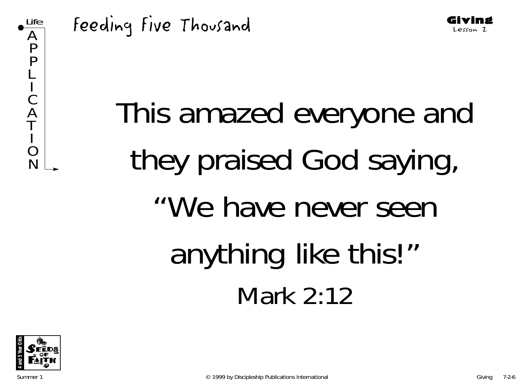





Giving Lesson 2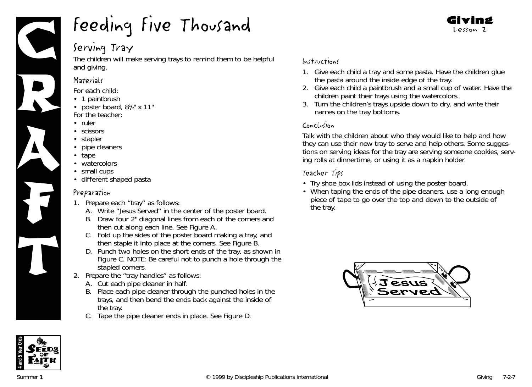

# Serving Tray

The children will make serving trays to remind them to be helpful and giving.

#### **Materials**

*For each child:*

- 1 paintbrush
- poster board,  $8\frac{1}{2}$ " x 11" *For the teacher:*
- ruler
- scissors
- stapler
- pipe cleaners
- tape
- watercolors
- small cups
- different shaped pasta

#### Preparation

- 1. Prepare each "tray" as follows:
	- A. Write "Jesus Served" in the center of the poster board.
	- B. Draw four 2" diagonal lines from each of the corners and then cut along each line. See Figure A.
	- C. Fold up the sides of the poster board making a tray, and then staple it into place at the corners. See Figure B.
	- D. Punch two holes on the short ends of the tray, as shown in Figure C. NOTE: Be careful not to punch a hole through the stapled corners.
- 2. Prepare the "tray handles" as follows:
	- A. Cut each pipe cleaner in half.
	- B. Place each pipe cleaner through the punched holes in the trays, and then bend the ends back against the inside of the tray.
	- C. Tape the pipe cleaner ends in place. See Figure D.

## Instructions

1. Give each child a tray and some pasta. Have the children glue the pasta around the inside edge of the tray.

Giving Lesson 2

- 2. Give each child a paintbrush and a small cup of water. Have the children paint their trays using the watercolors.
- 3. Turn the children's trays upside down to dry, and write their names on the tray bottoms.

#### Conclusion

Talk with the children about who they would like to help and how they can use their new tray to serve and help others. Some suggestions on serving ideas for the tray are serving someone cookies, serving rolls at dinnertime, or using it as a napkin holder.

- Try shoe box lids instead of using the poster board.
- When taping the ends of the pipe cleaners, use a long enough piece of tape to go over the top and down to the outside of the tray.



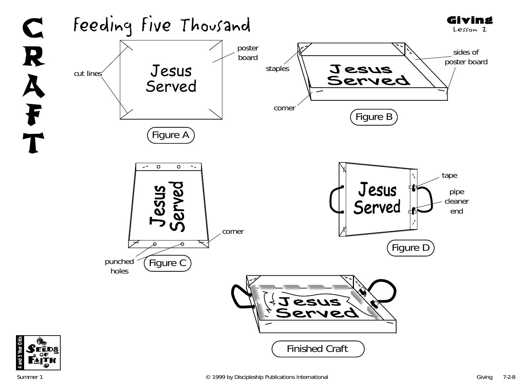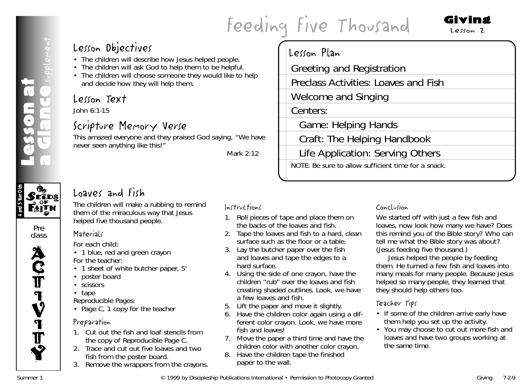# **Example Secon District Content Content Content Content Content Content Content Content Content Content Content Content Content Content Content Content Content Content Content Content Content Content Content Content Conten**

# Giving Lesson 2

# Lesson Objectives

- The children will describe how Jesus helped people.
- The children will ask God to help them to be helpful.
- The children will choose someone they would like to help and decide how they will help them.

# Lesson Text

John 6:1-15

# Scripture Memory Verse

This amazed everyone and they praised God saying, "We have never seen anything like this!"

*Mark 2:12*

# Lesson Plan

Greeting and Registration

Preclass Activities: Loaves and Fish

Welcome and Singing

Centers: Game: Helping Hands

Craft: The Helping Handbook

Life Application: Serving Others

NOTE: Be sure to allow sufficient time for a snack.

# Loaves and Fish

The children will make a rubbing to remind them of the miraculous way that Jesus helped five thousand people.

#### Pre class

 $\mathcal{S}$ eeds **PAITH** 

Lesson at

**4 and 5 Year Olds**

**ACT IV** I **T** Y

# **Materials**

*For each child:*

- 1 blue, red and green crayon *For the teacher:*
- 1 sheet of white butcher paper, 5'
- poster board
- scissors
- tape

*Reproducible Pages:*

• Page C, 1 copy for the teacher

# Preparation

- 1. Cut out the fish and loaf stencils from the copy of Reproducible Page C.
- 2. Trace and cut out five loaves and two fish from the poster board.
- 3. Remove the wrappers from the crayons.

# Instructions

- 1. Roll pieces of tape and place them on the backs of the loaves and fish.
- 2. Tape the loaves and fish to a hard, clean surface such as the floor or a table.
- 3. Lay the butcher paper over the fish and loaves and tape the edges to a hard surface.
- 4. Using the side of one crayon, have the children "rub" over the loaves and fish creating shaded outlines. *Look, we have a few loaves and fish.*
- 5. Lift the paper and move it slightly.
- 6. Have the children color again using a different color crayon. *Look, we have more fish and loaves!*
- 7. Move the paper a third time and have the children color with another color crayon.
- 8. Have the children tape the finished paper to the wall.

# Conclusion

*We started off with just a few fish and loaves, now look how many we have? Does this remind you of the Bible story? Who can tell me what the Bible story was about? (*Jesus feeding five thousand.*)*

*Jesus helped the people by feeding them. He turned a few fish and loaves into many meals for many people. Because Jesus helped so many people, they learned that they should help others too.*

- If some of the children arrive early have them help you set up the activity.
- You may choose to cut out more fish and loaves and have two groups working at the same time.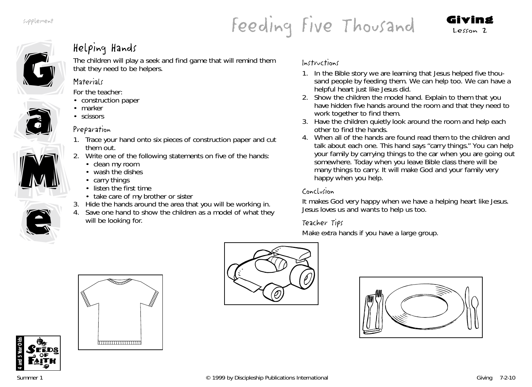# Feeding Five Thousand Giving



# Helping Hands

The children will play a seek and find game that will remind them that they need to be helpers.

## **Materials**

*For the teacher:*

- construction paper
- marker
- scissors

# Preparation

- 1. Trace your hand onto six pieces of construction paper and cut them out.
- 2. Write one of the following statements on five of the hands:
	- clean my room
	- wash the dishes
	- carry things
	- listen the first time
	- take care of my brother or sister
- 3. Hide the hands around the area that you will be working in.
- 4. Save one hand to show the children as a model of what they will be looking for.

# Instructions

- 1. *In the Bible story we are learning that Jesus helped five thousand people by feeding them. We can help too. We can have a helpful heart just like Jesus did.*
- 2. Show the children the model hand. Explain to them that you have hidden five hands around the room and that they need to work together to find them.
- 3. Have the children quietly look around the room and help each other to find the hands.
- 4. When all of the hands are found read them to the children and talk about each one. *This hand says "carry things." You can help your family by carrying things to the car when you are going out somewhere. Today when you leave Bible class there will be many things to carry. It will make God and your family very happy when you help.*

# Conclusion

*It makes God very happy when we have a helping heart like Jesus. Jesus loves us and wants to help us too.*

# Teacher Tips

Make extra hands if you have a large group.







e

e

M

M

a

a



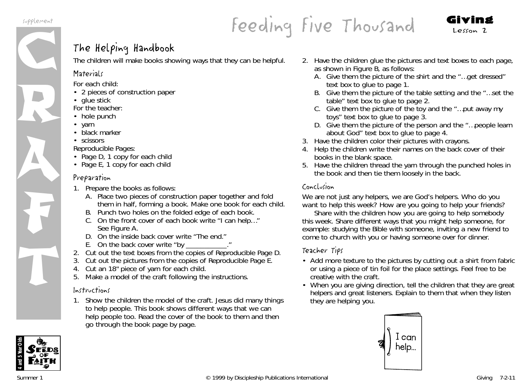

# Feeding Five Thousand Giving

# The Helping Handbook

The children will make books showing ways that they can be helpful.

# **Materials**

*For each child:*

- 2 pieces of construction paper
- glue stick
- *For the teacher:*
- hole punch
- yarn
- black marker
- scissors

*Reproducible Pages:*

- Page D, 1 copy for each child
- Page E, 1 copy for each child

# Preparation

- 1. Prepare the books as follows:
	- A. Place two pieces of construction paper together and fold them in half, forming a book. Make one book for each child.
	- B. Punch two holes on the folded edge of each book.
	- C. On the front cover of each book write "I can help…" See Figure A.
	- D. On the inside back cover write "The end."
	- E. On the back cover write "by
- 2. Cut out the text boxes from the copies of Reproducible Page D.
- 3. Cut out the pictures from the copies of Reproducible Page E.
- 4. Cut an 18" piece of yarn for each child.
- 5. Make a model of the craft following the instructions.

# Instructions

1. Show the children the model of the craft. *Jesus did many things to help people. This book shows different ways that we can help people too.* Read the cover of the book to them and then go through the book page by page.

- 2. Have the children glue the pictures and text boxes to each page, as shown in Figure B, as follows:
	- A. Give them the picture of the shirt and the "…get dressed" text box to glue to page 1.
	- B. Give them the picture of the table setting and the "…set the table" text box to glue to page 2.
	- C. Give them the picture of the toy and the "…put away my toys" text box to glue to page 3.
	- D. Give them the picture of the person and the "…people learn about God" text box to glue to page 4.
- 3. Have the children color their pictures with crayons.
- 4. Help the children write their names on the back cover of their books in the blank space.
- 5. Have the children thread the yarn through the punched holes in the book and then tie them loosely in the back.

# Conclusion

*We are not just any helpers,* <sup>w</sup>*e are God's helpers.* W*ho do you want to help this week? How are you going to help your friends?*

Share with the children how you are going to help somebody this week. Share different ways that you might help someone, for example: studying the Bible with someone, inviting a new friend to come to church with you or having someone over for dinner.

- Add more texture to the pictures by cutting out a shirt from fabric or using a piece of tin foil for the place settings. Feel free to be creative with the craft.
- When you are giving direction, tell the children that they are great helpers and great listeners. Explain to them that when they listen they are helping you.



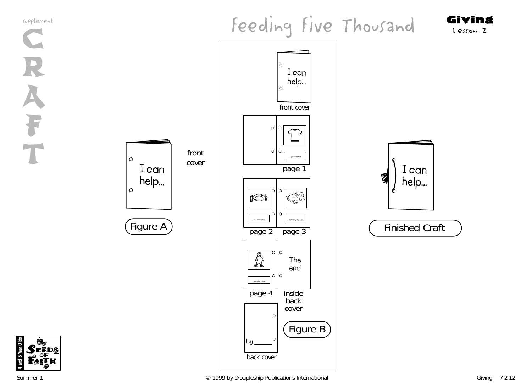supplement



C R A F







back cover

... set the table.

A

page 2

IST

page 4

**by**

**The end**

inside back cover

page 3

 $\begin{picture}(120,15) \put(0,0){\line(1,0){155}} \put(15,0){\line(1,0){155}} \put(15,0){\line(1,0){155}} \put(15,0){\line(1,0){155}} \put(15,0){\line(1,0){155}} \put(15,0){\line(1,0){155}} \put(15,0){\line(1,0){155}} \put(15,0){\line(1,0){155}} \put(15,0){\line(1,0){155}} \put(15,0){\line(1,0){155}} \put(15,0){\line(1,0){155}}$ 

front cover

I can help...

 $\circ$ 

 $\circ$ 

 $\circ$   $\circ$ 

page 1

Figure B

... set the table. ... ... put away my toy

10 O

 $\circ$   $\circ$ 

 $\circ$ 

 $\Omega$ 

 $\circ$   $\circ$ 

 $\circ$  $\circ$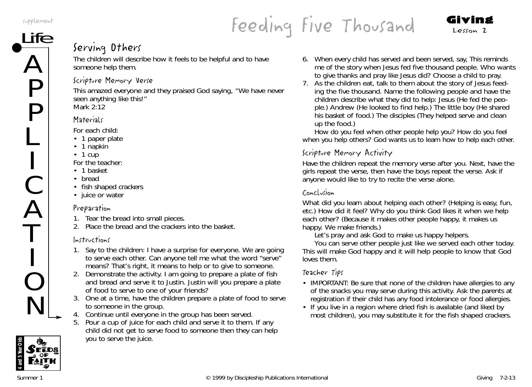supplement

 $\boldsymbol{\mathcal{L}}$ 

P

P

L

I

C

 $\boldsymbol{\mathcal{L}}$ 

T

I

O

N

# plement<br>Ife . . . . South Manual Lesson 2

# Serving Others

The children will describe how it feels to be helpful and to have someone help them.

# Scripture Memory Verse

This amazed everyone and they praised God saying, "We have never seen anything like this!" *Mark 2:12*

# **Materials**

*For each child:*

- 1 paper plate
- 1 napkin
- 1 cup
- *For the teacher:*
- 1 basket
- bread
- fish shaped crackers
- juice or water

## Preparation

- 1. Tear the bread into small pieces.
- 2. Place the bread and the crackers into the basket.

# Instructions

- 1. Say to the children*: I have a surprise for everyone. We are going to serve each other. Can anyone tell me what the word "serve" means? That's right, it means to help or to give to someone.*
- 2. Demonstrate the activity. *I am going to prepare a plate of fish and bread and serve it to Justin. Justin will you prepare a plate of food to serve to one of your friends?*
- 3. One at a time, have the children prepare a plate of food to serve to someone in the group.
- 4. Continue until everyone in the group has been served.
- 5. Pour a cup of juice for each child and serve it to them. If any child did not get to serve food to someone then they can help you to serve the juice.
- 6. When every child has served and been served, say, *This reminds me of the story when Jesus fed five thousand people. Who wants to give thanks and pray like Jesus did?* Choose a child to pray.
- 7. As the children eat, talk to them about the story of Jesus feeding the five thousand. Name the following people and have the children describe what they did to help: Jesus (He fed the people.) Andrew (He looked to find help.) The little boy (He shared his basket of food.) The disciples (They helped serve and clean up the food.)

*How do you feel when other people help you? How do you feel when you help others? God wants us to learn how to help each other.*

# Scripture Memory Activity

Have the children repeat the memory verse after you. Next, have the girls repeat the verse, then have the boys repeat the verse. Ask if anyone would like to try to recite the verse alone.

# Conclusion

*What did you learn about helping each other?* (Helping is easy, fun, etc.*) How did it feel? Why do you think God likes it when we help each other*? (Because it makes other people happy, it makes us happy. We make friends.)

*Let's pray and ask God to make us happy helpers.*

*You can serve other people just like we served each other today. This will make God happy and it will help people to know that God loves them.*

- IMPORTANT: Be sure that none of the children have allergies to any of the snacks you may serve during this activity. Ask the parents at registration if their child has any food intolerance or food allergies.
- If you live in a region where dried fish is available (and liked by most children), you may substitute it for the fish shaped crackers.

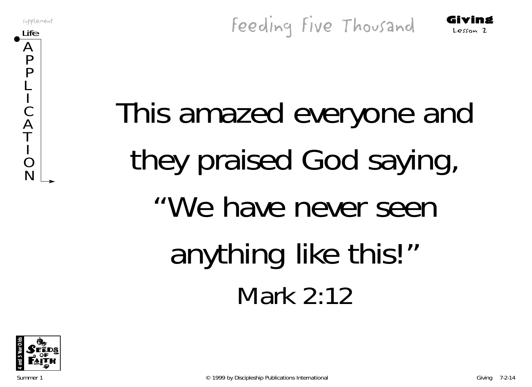supplement

 $\boldsymbol{\mathsf{A}}$ P P L I C  $\boldsymbol{\mathsf{\rho}}$ T I O N

supplement Giving Five Thousand Giving



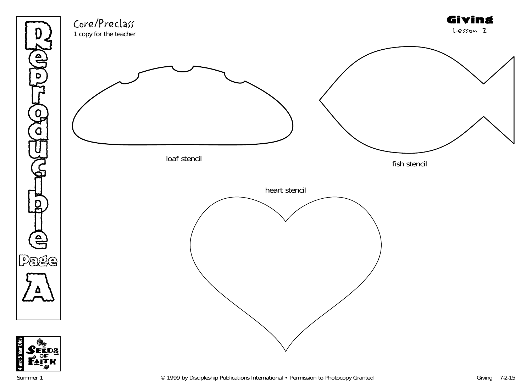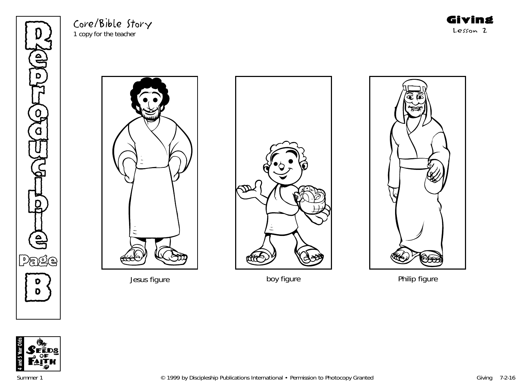Re p **THE** o d U  $\mathbb{G}% _{n}^{X}$  $\mathbf o$ t<br>D<br>D<br>C<br>D l e Page B Jesus figure boy figure Philip figure

Core/Bible Story 1 copy for the teacher







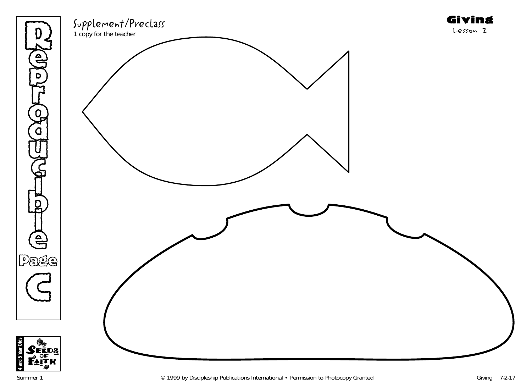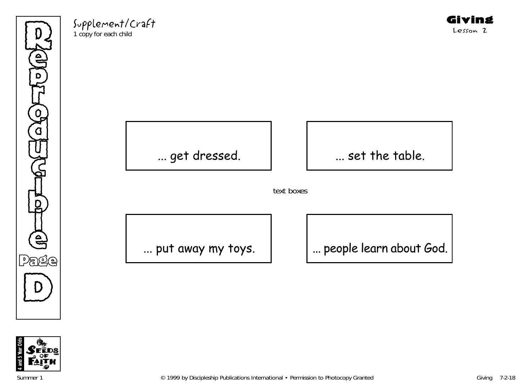Re  $\sum_{i=1}^{n}$ **THE**  $\bigodot$ d U  $\mathbb{G}% _{n}^{X}$ )<br>D t<br>D<br>D<br>C<br>D l  $\mathbf{e}$ Page  $\bigcirc$ 

Supplement/Craft 1 copy for each child